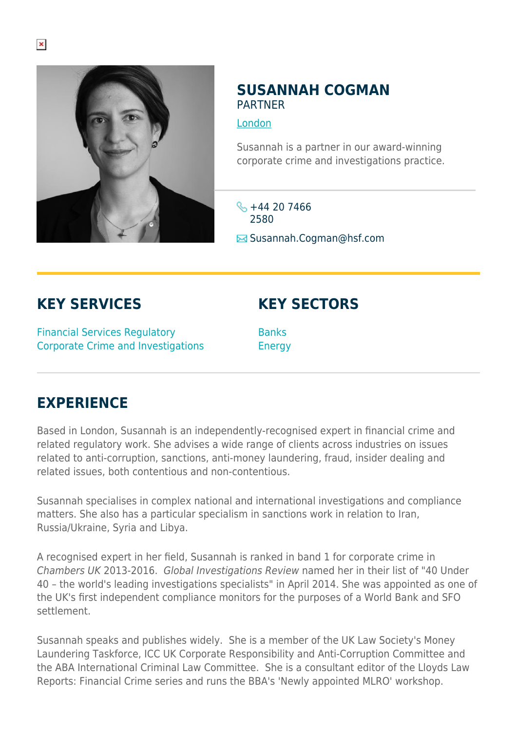

## **SUSANNAH COGMAN PARTNER**

[London](https://www.herbertsmithfreehills.com/lang-fr/where-we-work/london)

Susannah is a partner in our award-winning corporate crime and investigations practice.

 $\frac{1}{2} + 44$  20 7466 2580

 $\boxtimes$  Susannah.Cogman@hsf.com

**KEY SERVICES**

Financial Services Regulatory Corporate Crime and Investigations **KEY SECTORS**

**Banks** Energy

## **EXPERIENCE**

Based in London, Susannah is an independently-recognised expert in financial crime and related regulatory work. She advises a wide range of clients across industries on issues related to anti-corruption, sanctions, anti-money laundering, fraud, insider dealing and related issues, both contentious and non-contentious.

Susannah specialises in complex national and international investigations and compliance matters. She also has a particular specialism in sanctions work in relation to Iran, Russia/Ukraine, Syria and Libya.

A recognised expert in her field, Susannah is ranked in band 1 for corporate crime in Chambers UK 2013-2016. Global Investigations Review named her in their list of "40 Under 40 – the world's leading investigations specialists" in April 2014. She was appointed as one of the UK's first independent compliance monitors for the purposes of a World Bank and SFO settlement.

Susannah speaks and publishes widely. She is a member of the UK Law Society's Money Laundering Taskforce, ICC UK Corporate Responsibility and Anti-Corruption Committee and the ABA International Criminal Law Committee. She is a consultant editor of the Lloyds Law Reports: Financial Crime series and runs the BBA's 'Newly appointed MLRO' workshop.